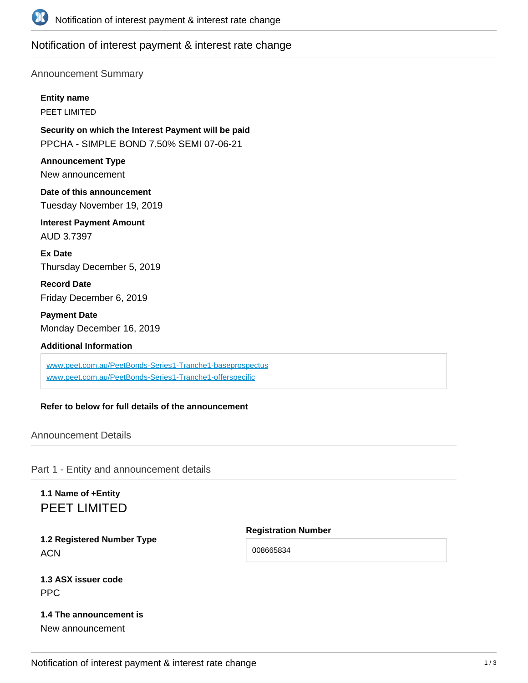

## Notification of interest payment & interest rate change

#### Announcement Summary

**Entity name**

PEET LIMITED

**Security on which the Interest Payment will be paid** PPCHA - SIMPLE BOND 7.50% SEMI 07-06-21

**Announcement Type** New announcement

**Date of this announcement** Tuesday November 19, 2019

**Interest Payment Amount** AUD 3.7397

**Ex Date** Thursday December 5, 2019

**Record Date** Friday December 6, 2019

**Payment Date** Monday December 16, 2019

**Additional Information**

[www.peet.com.au/PeetBonds-Series1-Tranche1-baseprospectus](http://www.peet.com.au/PeetBonds-Series1-Tranche1-baseprospectus) [www.peet.com.au/PeetBonds-Series1-Tranche1-offerspecific](http://www.peet.com.au/PeetBonds-Series1-Tranche1-offerspecific)

**Refer to below for full details of the announcement**

Announcement Details

Part 1 - Entity and announcement details

## **1.1 Name of +Entity** PEET LIMITED

**1.2 Registered Number Type ACN** 

**Registration Number**

008665834

**1.3 ASX issuer code** PPC

### **1.4 The announcement is**

New announcement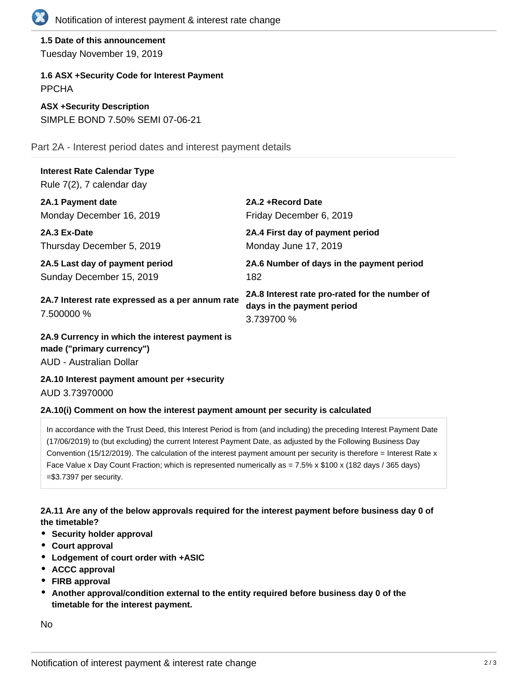

**1.5 Date of this announcement** Tuesday November 19, 2019

**1.6 ASX +Security Code for Interest Payment** PPCHA

**ASX +Security Description** SIMPLE BOND 7.50% SEMI 07-06-21

Part 2A - Interest period dates and interest payment details

# **Interest Rate Calendar Type**

Rule 7(2), 7 calendar day

| 2A.1 Payment date                                              | 2A.2 + Record Date                                                                         |
|----------------------------------------------------------------|--------------------------------------------------------------------------------------------|
| Monday December 16, 2019                                       | Friday December 6, 2019                                                                    |
| 2A.3 Ex-Date<br>Thursday December 5, 2019                      | 2A.4 First day of payment period<br>Monday June 17, 2019                                   |
| 2A.5 Last day of payment period<br>Sunday December 15, 2019    | 2A.6 Number of days in the payment period<br>182                                           |
| 2A.7 Interest rate expressed as a per annum rate<br>7.500000 % | 2A.8 Interest rate pro-rated for the number of<br>days in the payment period<br>3.739700 % |

**2A.9 Currency in which the interest payment is made ("primary currency")** AUD - Australian Dollar

**2A.10 Interest payment amount per +security** AUD 3.73970000

#### **2A.10(i) Comment on how the interest payment amount per security is calculated**

In accordance with the Trust Deed, this Interest Period is from (and including) the preceding Interest Payment Date (17/06/2019) to (but excluding) the current Interest Payment Date, as adjusted by the Following Business Day Convention (15/12/2019). The calculation of the interest payment amount per security is therefore = Interest Rate x Face Value x Day Count Fraction; which is represented numerically as = 7.5% x \$100 x (182 days / 365 days) =\$3.7397 per security.

#### **2A.11 Are any of the below approvals required for the interest payment before business day 0 of the timetable?**

- **•** Security holder approval
- **Court approval**
- **Lodgement of court order with +ASIC**
- **ACCC approval**
- **FIRB approval**
- **Another approval/condition external to the entity required before business day 0 of the timetable for the interest payment.**

No